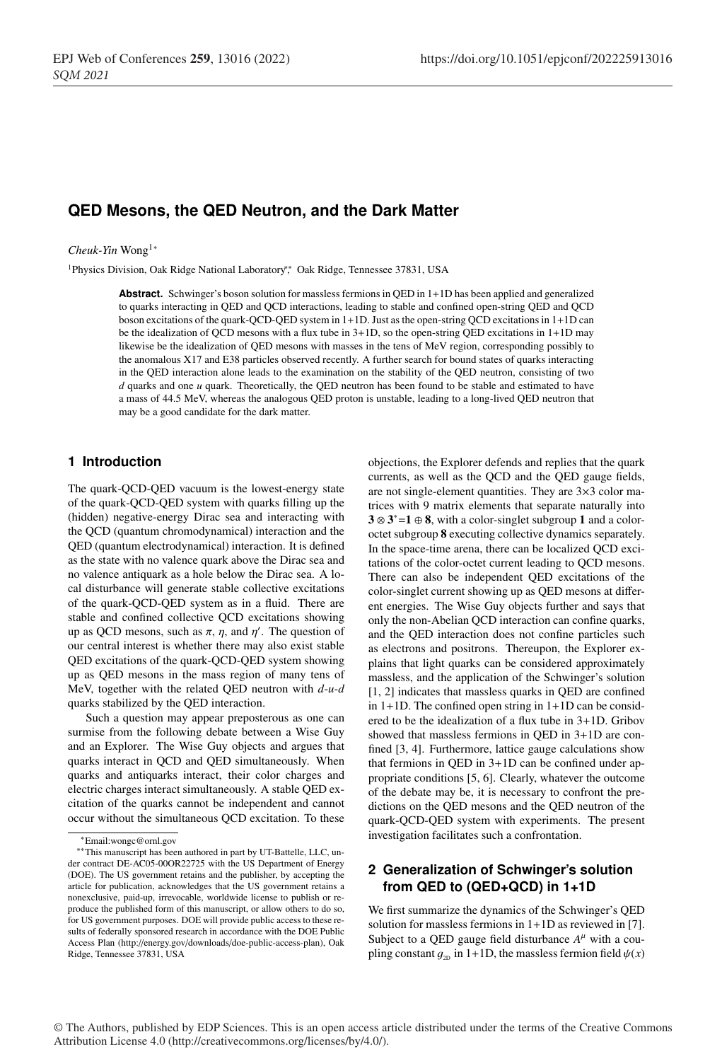# **QED Mesons, the QED Neutron, and the Dark Matter**

#### *Cheuk-Yin* Wong1<sup>∗</sup>

1Physics Division, Oak Ridge National Laboratory∗∗, Oak Ridge, Tennessee 37831, USA

**Abstract.** Schwinger's boson solution for massless fermions in QED in 1+1D has been applied and generalized to quarks interacting in QED and QCD interactions, leading to stable and confined open-string QED and QCD boson excitations of the quark-QCD-QED system in 1+1D. Just as the open-string QCD excitations in 1+1D can be the idealization of QCD mesons with a flux tube in 3+1D, so the open-string QED excitations in 1+1D may likewise be the idealization of QED mesons with masses in the tens of MeV region, corresponding possibly to the anomalous X17 and E38 particles observed recently. A further search for bound states of quarks interacting in the QED interaction alone leads to the examination on the stability of the QED neutron, consisting of two *d* quarks and one *u* quark. Theoretically, the QED neutron has been found to be stable and estimated to have a mass of 44.5 MeV, whereas the analogous QED proton is unstable, leading to a long-lived QED neutron that may be a good candidate for the dark matter.

#### **1 Introduction**

The quark-QCD-QED vacuum is the lowest-energy state of the quark-QCD-QED system with quarks filling up the (hidden) negative-energy Dirac sea and interacting with the QCD (quantum chromodynamical) interaction and the QED (quantum electrodynamical) interaction. It is defined as the state with no valence quark above the Dirac sea and no valence antiquark as a hole below the Dirac sea. A local disturbance will generate stable collective excitations of the quark-QCD-QED system as in a fluid. There are stable and confined collective QCD excitations showing up as QCD mesons, such as  $\pi$ ,  $\eta$ , and  $\eta'$ . The question of our central interest is whether there may also exist stable QED excitations of the quark-QCD-QED system showing up as QED mesons in the mass region of many tens of MeV, together with the related QED neutron with *d*-*u*-*d* quarks stabilized by the QED interaction.

Such a question may appear preposterous as one can surmise from the following debate between a Wise Guy and an Explorer. The Wise Guy objects and argues that quarks interact in QCD and QED simultaneously. When quarks and antiquarks interact, their color charges and electric charges interact simultaneously. A stable QED excitation of the quarks cannot be independent and cannot occur without the simultaneous QCD excitation. To these

objections, the Explorer defends and replies that the quark currents, as well as the QCD and the QED gauge fields, are not single-element quantities. They are 3×3 color matrices with 9 matrix elements that separate naturally into  $3 \otimes 3^* = 1 \oplus 8$ , with a color-singlet subgroup 1 and a coloroctet subgroup 8 executing collective dynamics separately. In the space-time arena, there can be localized QCD excitations of the color-octet current leading to QCD mesons. There can also be independent QED excitations of the color-singlet current showing up as QED mesons at different energies. The Wise Guy objects further and says that only the non-Abelian QCD interaction can confine quarks, and the QED interaction does not confine particles such as electrons and positrons. Thereupon, the Explorer explains that light quarks can be considered approximately massless, and the application of the Schwinger's solution [1, 2] indicates that massless quarks in QED are confined in 1+1D. The confined open string in 1+1D can be considered to be the idealization of a flux tube in 3+1D. Gribov showed that massless fermions in QED in 3+1D are confined [3, 4]. Furthermore, lattice gauge calculations show that fermions in QED in 3+1D can be confined under appropriate conditions [5, 6]. Clearly, whatever the outcome of the debate may be, it is necessary to confront the predictions on the QED mesons and the QED neutron of the quark-QCD-QED system with experiments. The present investigation facilitates such a confrontation.

## **2 Generalization of Schwinger's solution from QED to (QED+QCD) in 1+1D**

We first summarize the dynamics of the Schwinger's QED solution for massless fermions in 1+1D as reviewed in [7]. Subject to a QED gauge field disturbance  $A^{\mu}$  with a coupling constant  $g_{2D}$  in 1+1D, the massless fermion field  $\psi(x)$ 

© The Authors, published by EDP Sciences. This is an open access article distributed under the terms of the Creative Commons Attribution License 4.0 (http://creativecommons.org/licenses/by/4.0/).

<sup>∗</sup>Email:wongc@ornl.gov

<sup>∗∗</sup>This manuscript has been authored in part by UT-Battelle, LLC, under contract DE-AC05-00OR22725 with the US Department of Energy (DOE). The US government retains and the publisher, by accepting the article for publication, acknowledges that the US government retains a nonexclusive, paid-up, irrevocable, worldwide license to publish or reproduce the published form of this manuscript, or allow others to do so, for US government purposes. DOE will provide public access to these results of federally sponsored research in accordance with the DOE Public Access Plan (http://energy.gov/downloads/doe-public-access-plan), Oak Ridge, Tennessee 37831, USA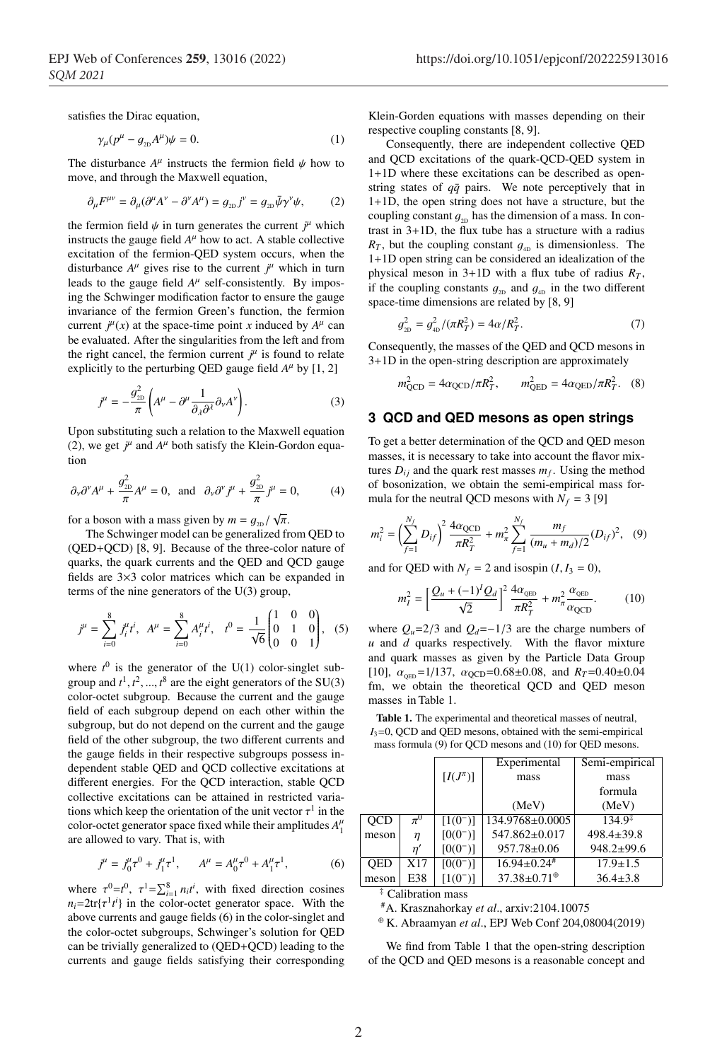satisfies the Dirac equation,

$$
\gamma_{\mu}(p^{\mu} - g_{_{2D}}A^{\mu})\psi = 0.
$$
 (1)

The disturbance  $A^{\mu}$  instructs the fermion field  $\psi$  how to move, and through the Maxwell equation,

$$
\partial_{\mu}F^{\mu\nu} = \partial_{\mu}(\partial^{\mu}A^{\nu} - \partial^{\nu}A^{\mu}) = g_{_{2\text{D}}}j^{\nu} = g_{_{2\text{D}}}\bar{\psi}\gamma^{\nu}\psi, \tag{2}
$$

the fermion field  $\psi$  in turn generates the current  $j^{\mu}$  which instructs the gauge field  $A^{\mu}$  how to act. A stable collective excitation of the fermion-QED system occurs, when the disturbance  $A^{\mu}$  gives rise to the current  $j^{\mu}$  which in turn leads to the gauge field  $A^{\mu}$  self-consistently. By imposing the Schwinger modification factor to ensure the gauge invariance of the fermion Green's function, the fermion current  $j^{\mu}(x)$  at the space-time point *x* induced by  $A^{\mu}$  can be evaluated. After the singularities from the left and from the right cancel, the fermion current  $j^{\mu}$  is found to relate explicitly to the perturbing QED gauge field  $A^{\mu}$  by [1, 2]

$$
j^{\mu} = -\frac{g_{\text{2D}}^2}{\pi} \left( A^{\mu} - \partial^{\mu} \frac{1}{\partial_{\lambda} \partial^{\lambda}} \partial_{\nu} A^{\nu} \right). \tag{3}
$$

Upon substituting such a relation to the Maxwell equation (2), we get  $j^{\mu}$  and  $A^{\mu}$  both satisfy the Klein-Gordon equation

$$
\partial_{\nu}\partial^{\nu}A^{\mu} + \frac{g_{\text{2D}}^2}{\pi}A^{\mu} = 0
$$
, and  $\partial_{\nu}\partial^{\nu}j^{\mu} + \frac{g_{\text{2D}}^2}{\pi}j^{\mu} = 0$ , (4)

for a boson with a mass given by  $m = g_{2D}/\sqrt{\pi}$ .

The Schwinger model can be generalized from QED to (QED+QCD) [8, 9]. Because of the three-color nature of quarks, the quark currents and the QED and QCD gauge fields are 3×3 color matrices which can be expanded in terms of the nine generators of the U(3) group,

$$
j^{\mu} = \sum_{i=0}^{8} j_i^{\mu} t^i, \ A^{\mu} = \sum_{i=0}^{8} A_i^{\mu} t^i, \quad t^0 = \frac{1}{\sqrt{6}} \begin{pmatrix} 1 & 0 & 0 \\ 0 & 1 & 0 \\ 0 & 0 & 1 \end{pmatrix}, \quad (5)
$$

where  $t^0$  is the generator of the U(1) color-singlet subgroup and  $t^1, t^2, ..., t^8$  are the eight generators of the SU(3) color-octet subgroup. Because the current and the gauge field of each subgroup depend on each other within the subgroup, but do not depend on the current and the gauge field of the other subgroup, the two different currents and the gauge fields in their respective subgroups possess independent stable QED and QCD collective excitations at different energies. For the QCD interaction, stable QCD collective excitations can be attained in restricted variations which keep the orientation of the unit vector  $\tau^1$  in the color-octet generator space fixed while their amplitudes  $A_1^{\mu}$ are allowed to vary. That is, with

$$
j^{\mu} = j_0^{\mu} \tau^0 + j_1^{\mu} \tau^1, \qquad A^{\mu} = A_0^{\mu} \tau^0 + A_1^{\mu} \tau^1,\tag{6}
$$

where  $\tau^0 = t^0$ ,  $\tau^1 = \sum_{i=1}^8 n_i t^i$ , with fixed direction cosines  $n_i = 2 \text{tr} \{ \tau^1 t^i \}$  in the color-octet generator space. With the above currents and gauge fields (6) in the color-singlet and the color-octet subgroups, Schwinger's solution for QED can be trivially generalized to (QED+QCD) leading to the currents and gauge fields satisfying their corresponding Klein-Gorden equations with masses depending on their respective coupling constants [8, 9].

Consequently, there are independent collective QED and QCD excitations of the quark-QCD-QED system in 1+1D where these excitations can be described as openstring states of  $q\bar{q}$  pairs. We note perceptively that in 1+1D, the open string does not have a structure, but the coupling constant  $g_{2D}$  has the dimension of a mass. In contrast in 3+1D, the flux tube has a structure with a radius  $R_T$ , but the coupling constant  $g_{4D}$  is dimensionless. The 1+1D open string can be considered an idealization of the physical meson in  $3+1D$  with a flux tube of radius  $R_T$ , if the coupling constants  $g_{2D}$  and  $g_{4D}$  in the two different space-time dimensions are related by [8, 9]

$$
g_{_{2D}}^2 = g_{_{4D}}^2 / (\pi R_T^2) = 4\alpha / R_T^2. \tag{7}
$$

Consequently, the masses of the QED and QCD mesons in 3+1D in the open-string description are approximately

$$
m_{\text{QCD}}^2 = 4\alpha_{\text{QCD}}/\pi R_T^2
$$
,  $m_{\text{QED}}^2 = 4\alpha_{\text{QED}}/\pi R_T^2$ . (8)

## **3 QCD and QED mesons as open strings**

To get a better determination of the QCD and QED meson masses, it is necessary to take into account the flavor mixtures  $D_{ij}$  and the quark rest masses  $m_f$ . Using the method of bosonization, we obtain the semi-empirical mass formula for the neutral QCD mesons with  $N_f = 3$  [9]

$$
m_i^2 = \left(\sum_{f=1}^{N_f} D_{if}\right)^2 \frac{4\alpha_{\text{QCD}}}{\pi R_T^2} + m_\pi^2 \sum_{f=1}^{N_f} \frac{m_f}{(m_u + m_d)/2} (D_{if})^2, \quad (9)
$$

and for QED with  $N_f = 2$  and isospin  $(I, I_3 = 0)$ ,

$$
m_I^2 = \left[\frac{Q_u + (-1)^I Q_d}{\sqrt{2}}\right]^2 \frac{4\alpha_{\text{QED}}}{\pi R_T^2} + m_\pi^2 \frac{\alpha_{\text{QED}}}{\alpha_{\text{QCD}}}.\tag{10}
$$

where  $Q_u=2/3$  and  $Q_d=-1/3$  are the charge numbers of *u* and *d* quarks respectively. With the flavor mixture and quark masses as given by the Particle Data Group [10],  $\alpha_{\text{QED}} = 1/137$ ,  $\alpha_{\text{QCD}} = 0.68 \pm 0.08$ , and  $R_T = 0.40 \pm 0.04$ fm, we obtain the theoretical QCD and QED meson masses in Table 1.

Table 1. The experimental and theoretical masses of neutral, *I*3=0, QCD and QED mesons, obtained with the semi-empirical mass formula (9) for QCD mesons and (10) for QED mesons.

|            |         |                | Experimental                                    | Semi-empirical     |
|------------|---------|----------------|-------------------------------------------------|--------------------|
|            |         | $[I(J^{\pi})]$ | mass                                            | mass               |
|            |         |                |                                                 | formula            |
|            |         |                | (MeV)                                           | (MeV)              |
| <b>OCD</b> | $\pi^0$ | $[1(0^-)]$     | 134.9768±0.0005                                 | $134.9^{\ddagger}$ |
| meson      | $\eta$  | $[0(0^-)]$     | $547.862 \pm 0.017$                             | $498.4 + 39.8$     |
|            | η'      | $[0(0^-)]$     | $957.78 \pm 0.06$                               | $948.2 \pm 99.6$   |
| <b>OED</b> | X17     | $[0(0^-)]$     | $16.94 \pm 0.24$ #                              | $17.9 + 1.5$       |
| meson      | E38     | $[1(0^-)]$     | $37.38 \pm 0.71$ <sup><math>\oplus</math></sup> | $36.4 \pm 3.8$     |
|            |         |                |                                                 |                    |

‡ Calibration mass

#A. Krasznahorkay *et al*., arxiv:2104.10075

<sup>⊕</sup> K. Abraamyan *et al*., EPJ Web Conf 204,08004(2019)

We find from Table 1 that the open-string description of the QCD and QED mesons is a reasonable concept and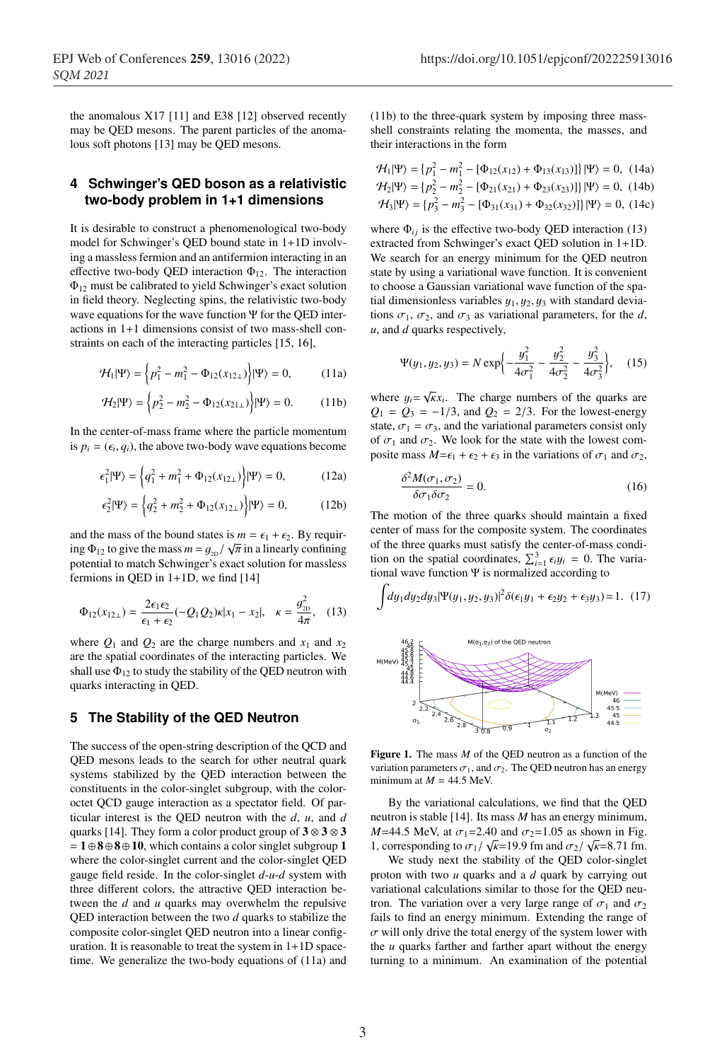the anomalous X17 [11] and E38 [12] observed recently may be QED mesons. The parent particles of the anomalous soft photons [13] may be QED mesons.

### **4 Schwinger's QED boson as a relativistic two-body problem in 1+1 dimensions**

It is desirable to construct a phenomenological two-body model for Schwinger's QED bound state in 1+1D involving a massless fermion and an antifermion interacting in an effective two-body QED interaction  $\Phi_{12}$ . The interaction Φ<sup>12</sup> must be calibrated to yield Schwinger's exact solution in field theory. Neglecting spins, the relativistic two-body wave equations for the wave function Ψ for the QED interactions in 1+1 dimensions consist of two mass-shell constraints on each of the interacting particles [15, 16],

$$
\mathcal{H}_1|\Psi\rangle = \left\{p_1^2 - m_1^2 - \Phi_{12}(x_{12\perp})\right\}|\Psi\rangle = 0, \quad (11a)
$$

$$
\mathcal{H}_2|\Psi\rangle = \left\{p_2^2 - m_2^2 - \Phi_{12}(x_{21\perp})\right\}|\Psi\rangle = 0. \quad (11b)
$$

In the center-of-mass frame where the particle momentum is  $p_i = (\epsilon_i, q_i)$ , the above two-body wave equations become

$$
\epsilon_1^2 |\Psi\rangle = \left\{ q_1^2 + m_1^2 + \Phi_{12}(x_{12\perp}) \right\} |\Psi\rangle = 0, \tag{12a}
$$

$$
\epsilon_2^2 |\Psi\rangle = \left\{ q_2^2 + m_2^2 + \Phi_{12}(x_{12\perp}) \right\} |\Psi\rangle = 0, \quad (12b)
$$

and the mass of the bound states is  $m = \epsilon_1 + \epsilon_2$ . By requiring  $\Phi_{12}$  to give the mass  $m = g_{2D}/\sqrt{\pi}$  in a linearly confining potential to match Schwinger's exact solution for massless fermions in QED in 1+1D, we find [14]

$$
\Phi_{12}(x_{12\perp}) = \frac{2\epsilon_1 \epsilon_2}{\epsilon_1 + \epsilon_2} (-Q_1 Q_2) \kappa |x_1 - x_2|, \quad \kappa = \frac{g_{2D}^2}{4\pi}, \quad (13)
$$

where  $Q_1$  and  $Q_2$  are the charge numbers and  $x_1$  and  $x_2$ are the spatial coordinates of the interacting particles. We shall use  $\Phi_{12}$  to study the stability of the QED neutron with quarks interacting in QED.

### **5 The Stability of the QED Neutron**

The success of the open-string description of the QCD and QED mesons leads to the search for other neutral quark systems stabilized by the QED interaction between the constituents in the color-singlet subgroup, with the coloroctet QCD gauge interaction as a spectator field. Of particular interest is the QED neutron with the *d*, *u*, and *d* quarks [14]. They form a color product group of  $3 \otimes 3 \otimes 3$ = 1⊕8⊕8⊕10, which contains a color singlet subgroup 1 where the color-singlet current and the color-singlet QED gauge field reside. In the color-singlet *d*-*u*-*d* system with three different colors, the attractive QED interaction between the *d* and *u* quarks may overwhelm the repulsive QED interaction between the two *d* quarks to stabilize the composite color-singlet QED neutron into a linear configuration. It is reasonable to treat the system in 1+1D spacetime. We generalize the two-body equations of (11a) and (11b) to the three-quark system by imposing three massshell constraints relating the momenta, the masses, and their interactions in the form

$$
\mathcal{H}_1|\Psi\rangle = \{p_1^2 - m_1^2 - [\Phi_{12}(x_{12}) + \Phi_{13}(x_{13})]\} |\Psi\rangle = 0, \quad (14a)
$$
  

$$
\mathcal{H}_2|\Psi\rangle = \{p_2^2 - m_2^2 - [\Phi_{21}(x_{21}) + \Phi_{23}(x_{23})]\} |\Psi\rangle = 0, \quad (14b)
$$
  

$$
\mathcal{H}_3|\Psi\rangle = \{p_3^2 - m_3^2 - [\Phi_{31}(x_{31}) + \Phi_{32}(x_{32})]\} |\Psi\rangle = 0, \quad (14c)
$$

where  $\Phi_{ij}$  is the effective two-body QED interaction (13) extracted from Schwinger's exact QED solution in 1+1D. We search for an energy minimum for the QED neutron state by using a variational wave function. It is convenient to choose a Gaussian variational wave function of the spatial dimensionless variables  $y_1, y_2, y_3$  with standard deviations  $\sigma_1$ ,  $\sigma_2$ , and  $\sigma_3$  as variational parameters, for the *d*, *u*, and *d* quarks respectively,

$$
\Psi(y_1, y_2, y_3) = N \exp\left\{-\frac{y_1^2}{4\sigma_1^2} - \frac{y_2^2}{4\sigma_2^2} - \frac{y_3^2}{4\sigma_3^2}\right\},\quad(15)
$$

where  $y_i = \sqrt{k}x_i$ . The charge numbers of the quarks are  $Q_1 = Q_3 = -1/3$ , and  $Q_2 = 2/3$ . For the lowest-energy state,  $\sigma_1 = \sigma_3$ , and the variational parameters consist only of  $\sigma_1$  and  $\sigma_2$ . We look for the state with the lowest composite mass  $M = \epsilon_1 + \epsilon_2 + \epsilon_3$  in the variations of  $\sigma_1$  and  $\sigma_2$ ,

$$
\frac{\delta^2 M(\sigma_1, \sigma_2)}{\delta \sigma_1 \delta \sigma_2} = 0.
$$
\n(16)

The motion of the three quarks should maintain a fixed center of mass for the composite system. The coordinates of the three quarks must satisfy the center-of-mass condition on the spatial coordinates,  $\sum_{i=1}^{3} \epsilon_i y_i = 0$ . The variational wave function Ψ is normalized according to

$$
\int dy_1 dy_2 dy_3 |\Psi(y_1, y_2, y_3)|^2 \delta(\epsilon_1 y_1 + \epsilon_2 y_2 + \epsilon_3 y_3) = 1. (17)
$$
\n
$$
\begin{array}{r}\n\text{M(0,0)} \text{ with } 0.5 \text{ m} \\
\text{M(0,0)} \text{ with } 0.5 \text{ m} \\
\end{array}
$$
\n
$$
\begin{array}{r}\n\text{M(0,0)} \text{ with } 0.5 \text{ m} \\
\text{M(0,0)} \text{ with } 0.5 \text{ m} \\
\end{array}
$$
\n
$$
\begin{array}{r}\n\text{M(0,0)} \\
\text{M(0,0)} \text{ with } 0.5 \text{ m} \\
\end{array}
$$
\n
$$
\begin{array}{r}\n\text{M(0,0)} \\
\text{M(0,0)} \text{ with } 0.5 \text{ m} \\
\end{array}
$$

Figure 1. The mass *M* of the QED neutron as a function of the variation parameters  $\sigma_1$ , and  $\sigma_2$ . The QED neutron has an energy minimum at  $M = 44.5$  MeV.

By the variational calculations, we find that the QED neutron is stable [14]. Its mass *M* has an energy minimum,  $M=44.5$  MeV, at  $\sigma_1=2.40$  and  $\sigma_2=1.05$  as shown in Fig. 1, corresponding to  $\sigma_1/\sqrt{\kappa}$ =19.9 fm and  $\sigma_2/\sqrt{\kappa}$ =8.71 fm.

We study next the stability of the QED color-singlet proton with two *u* quarks and a *d* quark by carrying out variational calculations similar to those for the QED neutron. The variation over a very large range of  $\sigma_1$  and  $\sigma_2$ fails to find an energy minimum. Extending the range of  $\sigma$  will only drive the total energy of the system lower with the *u* quarks farther and farther apart without the energy turning to a minimum. An examination of the potential